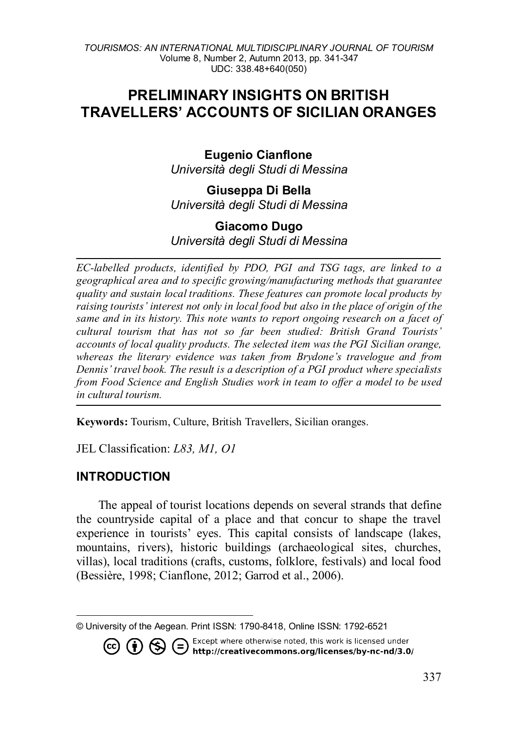# **PRELIMINARY INSIGHTS ON BRITISH TRAVELLERS' ACCOUNTS OF SICILIAN ORANGES**

## **Eugenio Cianflone** *Università degli Studi di Messina*

**Giuseppa Di Bella** *Università degli Studi di Messina*

## **Giacomo Dugo**

*Università degli Studi di Messina*

*EC-labelled products, identified by PDO, PGI and TSG tags, are linked to a geographical area and to specific growing/manufacturing methods that guarantee quality and sustain local traditions. These features can promote local products by raising tourists' interest not only in local food but also in the place of origin of the same and in its history. This note wants to report ongoing research on a facet of cultural tourism that has not so far been studied: British Grand Tourists' accounts of local quality products. The selected item was the PGI Sicilian orange, whereas the literary evidence was taken from Brydone's travelogue and from Dennis' travel book. The result is a description of a PGI product where specialists from Food Science and English Studies work in team to offer a model to be used in cultural tourism.*

**Keywords:** Tourism, Culture, British Travellers, Sicilian oranges.

JEL Classification: *L83, M1, O1*

### **INTRODUCTION**

 $(cc)$ 

The appeal of tourist locations depends on several strands that define the countryside capital of a place and that concur to shape the travel experience in tourists' eyes. This capital consists of landscape (lakes, mountains, rivers), historic buildings (archaeological sites, churches, villas), local traditions (crafts, customs, folklore, festivals) and local food (Bessière, 1998; Cianflone, 2012; Garrod et al., 2006).

<span id="page-0-0"></span> $\overline{a}$ © University of the Aegean. Print ISSN: 1790-8418, Online ISSN: 1792-6521

> Except where otherwise noted, this work is licensed under **1**  $\odot$   $\odot$   $\odot$  Except where otherwise noted, this work is licensed under<br>http://creativecommons.org/licenses/by-nc-nd/3.0/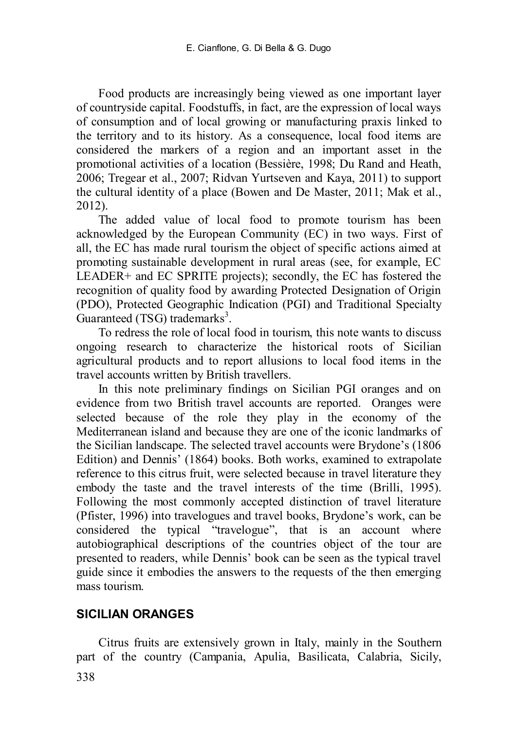Food products are increasingly being viewed as one important layer of countryside capital. Foodstuffs, in fact, are the expression of local ways of consumption and of local growing or manufacturing praxis linked to the territory and to its history. As a consequence, local food items are considered the markers of a region and an important asset in the promotional activities of a location (Bessière, 1998; Du Rand and Heath, 2006; Tregear et al., 2007; Ridvan Yurtseven and Kaya, 2011) to support the cultural identity of a place (Bowen and De Master, 2011; Mak et al., 2012).

The added value of local food to promote tourism has been acknowledged by the European Community (EC) in two ways. First of all, the EC has made rural tourism the object of specific actions aimed at promoting sustainable development in rural areas (see, for example, EC LEADER+ and EC SPRITE projects); secondly, the EC has fostered the recognition of quality food by awarding Protected Designation of Origin (PDO), Protected Geographic Indication (PGI) and Traditional Specialty Guaranteed (TSG) trademarks<sup>3</sup>.

To redress the role of local food in tourism, this note wants to discuss ongoing research to characterize the historical roots of Sicilian agricultural products and to report allusions to local food items in the travel accounts written by British travellers.

In this note preliminary findings on Sicilian PGI oranges and on evidence from two British travel accounts are reported. Oranges were selected because of the role they play in the economy of the Mediterranean island and because they are one of the iconic landmarks of the Sicilian landscape. The selected travel accounts were Brydone's (1806 Edition) and Dennis' (1864) books. Both works, examined to extrapolate reference to this citrus fruit, were selected because in travel literature they embody the taste and the travel interests of the time (Brilli, 1995). Following the most commonly accepted distinction of travel literature (Pfister, 1996) into travelogues and travel books, Brydone's work, can be considered the typical "travelogue", that is an account where autobiographical descriptions of the countries object of the tour are presented to readers, while Dennis' book can be seen as the typical travel guide since it embodies the answers to the requests of the then emerging mass tourism.

## **SICILIAN ORANGES**

Citrus fruits are extensively grown in Italy, mainly in the Southern part of the country (Campania, Apulia, Basilicata, Calabria, Sicily,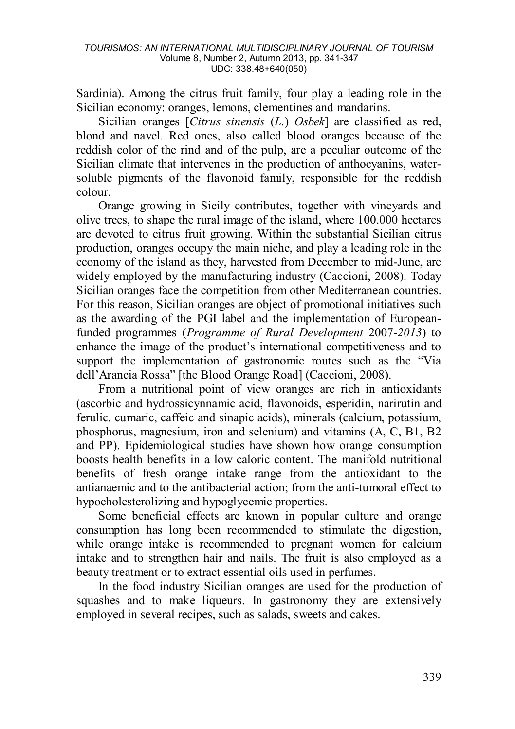Sardinia). Among the citrus fruit family, four play a leading role in the Sicilian economy: oranges, lemons, clementines and mandarins.

Sicilian oranges [*Citrus sinensis* (*L.*) *Osbek*] are classified as red, blond and navel. Red ones, also called blood oranges because of the reddish color of the rind and of the pulp, are a peculiar outcome of the Sicilian climate that intervenes in the production of anthocyanins, watersoluble pigments of the flavonoid family, responsible for the reddish colour.

Orange growing in Sicily contributes, together with vineyards and olive trees, to shape the rural image of the island, where 100.000 hectares are devoted to citrus fruit growing. Within the substantial Sicilian citrus production, oranges occupy the main niche, and play a leading role in the economy of the island as they, harvested from December to mid-June, are widely employed by the manufacturing industry (Caccioni, 2008). Today Sicilian oranges face the competition from other Mediterranean countries. For this reason, Sicilian oranges are object of promotional initiatives such as the awarding of the PGI label and the implementation of Europeanfunded programmes (*Programme of Rural Development* 2007-*2013*) to enhance the image of the product's international competitiveness and to support the implementation of gastronomic routes such as the "Via dell'Arancia Rossa" [the Blood Orange Road] (Caccioni, 2008).

From a nutritional point of view oranges are rich in antioxidants (ascorbic and hydrossicynnamic acid, flavonoids, esperidin, narirutin and ferulic, cumaric, caffeic and sinapic acids), minerals (calcium, potassium, phosphorus, magnesium, iron and selenium) and vitamins (A, C, B1, B2 and PP). Epidemiological studies have shown how orange consumption boosts health benefits in a low caloric content. The manifold nutritional benefits of fresh orange intake range from the antioxidant to the antianaemic and to the antibacterial action; from the anti-tumoral effect to hypocholesterolizing and hypoglycemic properties.

Some beneficial effects are known in popular culture and orange consumption has long been recommended to stimulate the digestion, while orange intake is recommended to pregnant women for calcium intake and to strengthen hair and nails. The fruit is also employed as a beauty treatment or to extract essential oils used in perfumes.

In the food industry Sicilian oranges are used for the production of squashes and to make liqueurs. In gastronomy they are extensively employed in several recipes, such as salads, sweets and cakes.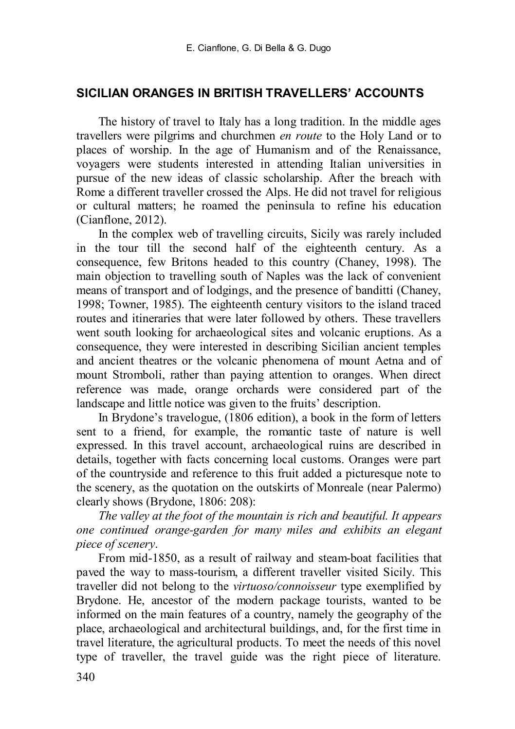### **SICILIAN ORANGES IN BRITISH TRAVELLERS' ACCOUNTS**

The history of travel to Italy has a long tradition. In the middle ages travellers were pilgrims and churchmen *en route* to the Holy Land or to places of worship. In the age of Humanism and of the Renaissance, voyagers were students interested in attending Italian universities in pursue of the new ideas of classic scholarship. After the breach with Rome a different traveller crossed the Alps. He did not travel for religious or cultural matters; he roamed the peninsula to refine his education (Cianflone, 2012).

In the complex web of travelling circuits, Sicily was rarely included in the tour till the second half of the eighteenth century. As a consequence, few Britons headed to this country (Chaney, 1998). The main objection to travelling south of Naples was the lack of convenient means of transport and of lodgings, and the presence of banditti (Chaney, 1998; Towner, 1985). The eighteenth century visitors to the island traced routes and itineraries that were later followed by others. These travellers went south looking for archaeological sites and volcanic eruptions. As a consequence, they were interested in describing Sicilian ancient temples and ancient theatres or the volcanic phenomena of mount Aetna and of mount Stromboli, rather than paying attention to oranges. When direct reference was made, orange orchards were considered part of the landscape and little notice was given to the fruits' description.

In Brydone's travelogue, (1806 edition), a book in the form of letters sent to a friend, for example, the romantic taste of nature is well expressed. In this travel account, archaeological ruins are described in details, together with facts concerning local customs. Oranges were part of the countryside and reference to this fruit added a picturesque note to the scenery, as the quotation on the outskirts of Monreale (near Palermo) clearly shows (Brydone, 1806: 208):

*The valley at the foot of the mountain is rich and beautiful. It appears one continued orange-garden for many miles and exhibits an elegant piece of scenery*.

From mid-1850, as a result of railway and steam-boat facilities that paved the way to mass-tourism, a different traveller visited Sicily. This traveller did not belong to the *virtuoso/connoisseur* type exemplified by Brydone. He, ancestor of the modern package tourists, wanted to be informed on the main features of a country, namely the geography of the place, archaeological and architectural buildings, and, for the first time in travel literature, the agricultural products. To meet the needs of this novel type of traveller, the travel guide was the right piece of literature.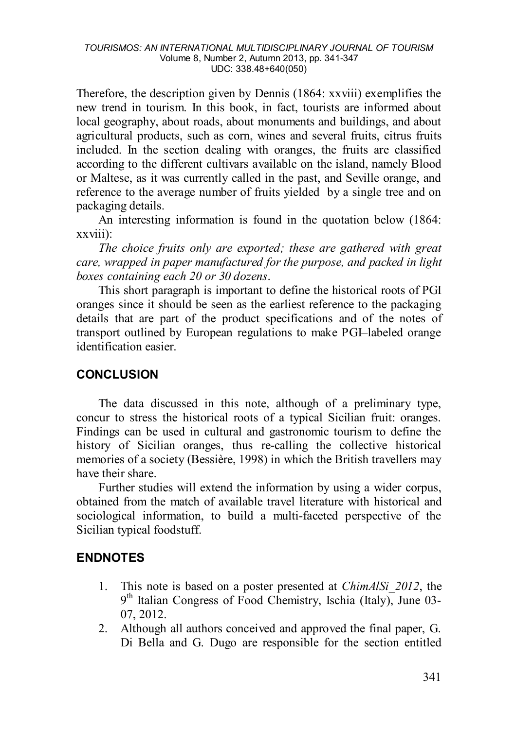#### *TOURISMOS: AN INTERNATIONAL MULTIDISCIPLINARY JOURNAL OF TOURISM* Volume 8, Number 2, Autumn 2013, pp. 341-347 UDC: 338.48+640(050)

Therefore, the description given by Dennis (1864: xxviii) exemplifies the new trend in tourism. In this book, in fact, tourists are informed about local geography, about roads, about monuments and buildings, and about agricultural products, such as corn, wines and several fruits, citrus fruits included. In the section dealing with oranges, the fruits are classified according to the different cultivars available on the island, namely Blood or Maltese, as it was currently called in the past, and Seville orange, and reference to the average number of fruits yielded by a single tree and on packaging details.

An interesting information is found in the quotation below (1864: xxviii):

*The choice fruits only are exported; these are gathered with great care, wrapped in paper manufactured for the purpose, and packed in light boxes containing each 20 or 30 dozens*.

This short paragraph is important to define the historical roots of PGI oranges since it should be seen as the earliest reference to the packaging details that are part of the product specifications and of the notes of transport outlined by European regulations to make PGI–labeled orange identification easier.

### **CONCLUSION**

The data discussed in this note, although of a preliminary type, concur to stress the historical roots of a typical Sicilian fruit: oranges. Findings can be used in cultural and gastronomic tourism to define the history of Sicilian oranges, thus re-calling the collective historical memories of a society (Bessière, 1998) in which the British travellers may have their share.

Further studies will extend the information by using a wider corpus, obtained from the match of available travel literature with historical and sociological information, to build a multi-faceted perspective of the Sicilian typical foodstuff.

## **ENDNOTES**

- 1. This note is based on a poster presented at *ChimAlSi\_2012*, the 9<sup>th</sup> Italian Congress of Food Chemistry, Ischia (Italy), June 03-07, 2012.
- 2. Although all authors conceived and approved the final paper, G. Di Bella and G. Dugo are responsible for the section entitled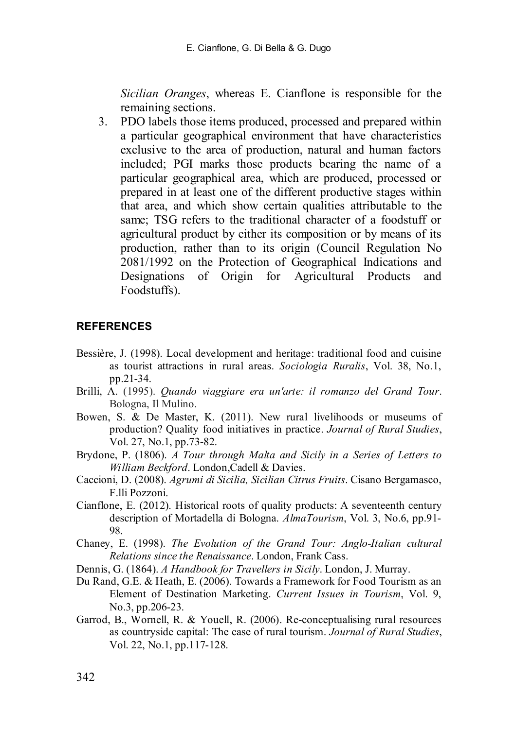*Sicilian Oranges*, whereas E. Cianflone is responsible for the remaining sections.

3. PDO labels those items produced, processed and prepared within a particular geographical environment that have characteristics exclusive to the area of production, natural and human factors included; PGI marks those products bearing the name of a particular geographical area, which are produced, processed or prepared in at least one of the different productive stages within that area, and which show certain qualities attributable to the same; TSG refers to the traditional character of a foodstuff or agricultural product by either its composition or by means of its production, rather than to its origin (Council Regulation No 2081/1992 on the Protection of Geographical Indications and Designations of Origin for Agricultural Products and Foodstuffs).

### **REFERENCES**

- Bessière, J. (1998). Local development and heritage: traditional food and cuisine as tourist attractions in rural areas. *Sociologia Ruralis*, Vol. 38, No.1, pp.21-34.
- Brilli, A. (1995). *Quando viaggiare era un'arte: il romanzo del Grand Tour*. Bologna, Il Mulino.
- Bowen, S. & De Master, K. (2011). New rural livelihoods or museums of production? Quality food initiatives in practice. *Journal of Rural Studies*, Vol. 27, No.1, pp.73-82.
- Brydone, P. (1806). *A Tour through Malta and Sicily in a Series of Letters to William Beckford*. London,Cadell & Davies.
- Caccioni, D. (2008). *Agrumi di Sicilia, Sicilian Citrus Fruits*. Cisano Bergamasco, F.lli Pozzoni.
- Cianflone, E. (2012). Historical roots of quality products: A seventeenth century description of Mortadella di Bologna. *AlmaTourism*, Vol. 3, No.6, pp.91- 98.
- Chaney, E. (1998). *The Evolution of the Grand Tour: Anglo-Italian cultural Relations since the Renaissance*. London, Frank Cass.
- Dennis, G. (1864). *A Handbook for Travellers in Sicily*. London, J. Murray.
- Du Rand, G.E. & Heath, E. (2006). Towards a Framework for Food Tourism as an Element of Destination Marketing. *Current Issues in Tourism*, Vol. 9, No.3, pp.206-23.
- Garrod, B., Wornell, R. & Youell, R. (2006). Re-conceptualising rural resources as countryside capital: The case of rural tourism. *Journal of Rural Studies*, Vol. 22, No.1, pp.117-128.